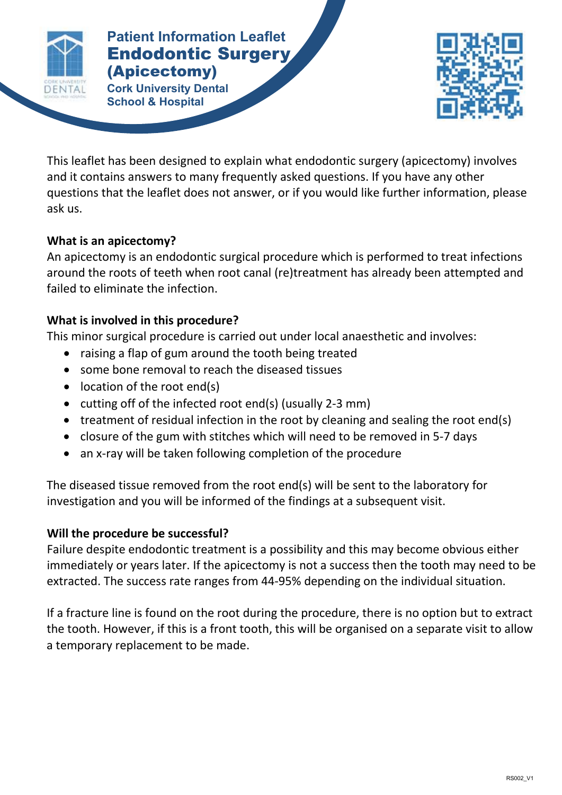

#### **Patient Contract Surgery And Contract Surgery And Contract Surgery And Contract Surgery And Contract Surgery And Contract Surgery And Contract Surgery And Contract Surgery And Contract Surgery And Contract Surgery And Con ENDING**<br> **Example:** Dental **Patient Information Leaflet** (Apicectomy)

**Cork University Dental School & Hospital**



This leaflet has been designed to explain what endodontic surgery (apicectomy) involves and it contains answers to many frequently asked questions. If you have any other questions that the leaflet does not answer, or if you would like further information, please ask us.

# **What is an apicectomy?**

An apicectomy is an endodontic surgical procedure which is performed to treat infections around the roots of teeth when root canal (re)treatment has already been attempted and failed to eliminate the infection.

## **What is involved in this procedure?**

This minor surgical procedure is carried out under local anaesthetic and involves:

- raising a flap of gum around the tooth being treated
- some bone removal to reach the diseased tissues
- location of the root end(s)
- cutting off of the infected root end(s) (usually 2-3 mm)
- treatment of residual infection in the root by cleaning and sealing the root end(s)
- closure of the gum with stitches which will need to be removed in 5-7 days
- an x-ray will be taken following completion of the procedure

The diseased tissue removed from the root end(s) will be sent to the laboratory for investigation and you will be informed of the findings at a subsequent visit.

# **Will the procedure be successful?**

Failure despite endodontic treatment is a possibility and this may become obvious either immediately or years later. If the apicectomy is not a success then the tooth may need to be extracted. The success rate ranges from 44-95% depending on the individual situation.

If a fracture line is found on the root during the procedure, there is no option but to extract the tooth. However, if this is a front tooth, this will be organised on a separate visit to allow a temporary replacement to be made.